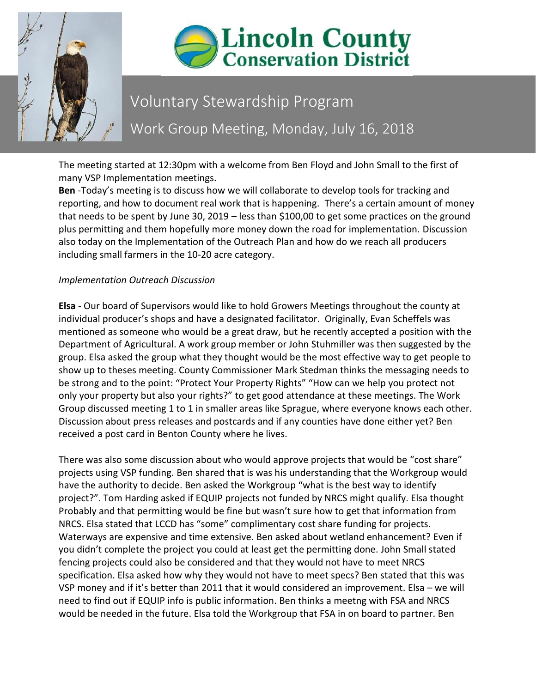



## Voluntary Stewardship Program Work Group Meeting, Monday, July 16, 2018

The meeting started at 12:30pm with a welcome from Ben Floyd and John Small to the first of many VSP Implementation meetings.

**Ben** -Today's meeting is to discuss how we will collaborate to develop tools for tracking and reporting, and how to document real work that is happening. There's a certain amount of money that needs to be spent by June 30, 2019 – less than \$100,00 to get some practices on the ground plus permitting and them hopefully more money down the road for implementation. Discussion also today on the Implementation of the Outreach Plan and how do we reach all producers including small farmers in the 10-20 acre category.

## *Implementation Outreach Discussion*

**Elsa** - Our board of Supervisors would like to hold Growers Meetings throughout the county at individual producer's shops and have a designated facilitator. Originally, Evan Scheffels was mentioned as someone who would be a great draw, but he recently accepted a position with the Department of Agricultural. A work group member or John Stuhmiller was then suggested by the group. Elsa asked the group what they thought would be the most effective way to get people to show up to theses meeting. County Commissioner Mark Stedman thinks the messaging needs to be strong and to the point: "Protect Your Property Rights" "How can we help you protect not only your property but also your rights?" to get good attendance at these meetings. The Work Group discussed meeting 1 to 1 in smaller areas like Sprague, where everyone knows each other. Discussion about press releases and postcards and if any counties have done either yet? Ben received a post card in Benton County where he lives.

There was also some discussion about who would approve projects that would be "cost share" projects using VSP funding. Ben shared that is was his understanding that the Workgroup would have the authority to decide. Ben asked the Workgroup "what is the best way to identify project?". Tom Harding asked if EQUIP projects not funded by NRCS might qualify. Elsa thought Probably and that permitting would be fine but wasn't sure how to get that information from NRCS. Elsa stated that LCCD has "some" complimentary cost share funding for projects. Waterways are expensive and time extensive. Ben asked about wetland enhancement? Even if you didn't complete the project you could at least get the permitting done. John Small stated fencing projects could also be considered and that they would not have to meet NRCS specification. Elsa asked how why they would not have to meet specs? Ben stated that this was VSP money and if it's better than 2011 that it would considered an improvement. Elsa – we will need to find out if EQUIP info is public information. Ben thinks a meetng with FSA and NRCS would be needed in the future. Elsa told the Workgroup that FSA in on board to partner. Ben